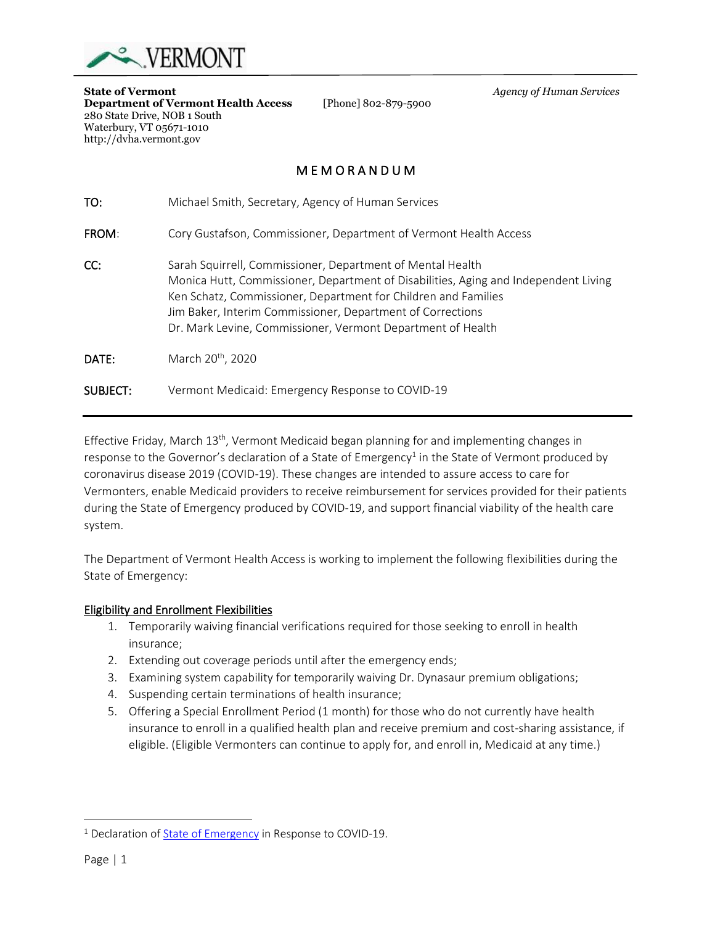

280 State Drive, NOB 1 South Waterbury, VT 05671-1010 http://dvha.vermont.gov

**Department of Vermont Health Access** 

**State of Vermont**<br>**Department of Vermont Health Access** [Phone] 802-879-5900 *Agency of Human Services* 

# M E M O R A N D U M

| TO:      | Michael Smith, Secretary, Agency of Human Services                                                                                                                                                                                                                                                                                               |
|----------|--------------------------------------------------------------------------------------------------------------------------------------------------------------------------------------------------------------------------------------------------------------------------------------------------------------------------------------------------|
| FROM:    | Cory Gustafson, Commissioner, Department of Vermont Health Access                                                                                                                                                                                                                                                                                |
| CC:      | Sarah Squirrell, Commissioner, Department of Mental Health<br>Monica Hutt, Commissioner, Department of Disabilities, Aging and Independent Living<br>Ken Schatz, Commissioner, Department for Children and Families<br>Jim Baker, Interim Commissioner, Department of Corrections<br>Dr. Mark Levine, Commissioner, Vermont Department of Health |
| DATE:    | March 20 <sup>th</sup> , 2020                                                                                                                                                                                                                                                                                                                    |
| SUBJECT: | Vermont Medicaid: Emergency Response to COVID-19                                                                                                                                                                                                                                                                                                 |

Effective Friday, March 13<sup>th</sup>, Vermont Medicaid began planning for and implementing changes in response to the Governor's declaration of a State of Emergency<sup>1</sup> in the State of Vermont produced by coronavirus disease 2019 (COVID-19). These changes are intended to assure access to care for Vermonters, enable Medicaid providers to receive reimbursement for services provided for their patients during the State of Emergency produced by COVID-19, and support financial viability of the health care system.

The Department of Vermont Health Access is working to implement the following flexibilities during the State of Emergency:

#### Eligibility and Enrollment Flexibilities

- 1. Temporarily waiving financial verifications required for those seeking to enroll in health insurance;
- 2. Extending out coverage periods until after the emergency ends;
- 3. Examining system capability for temporarily waiving Dr. Dynasaur premium obligations;
- 4. Suspending certain terminations of health insurance;
- 5. Offering a Special Enrollment Period (1 month) for those who do not currently have health insurance to enroll in a qualified health plan and receive premium and cost-sharing assistance, if eligible. (Eligible Vermonters can continue to apply for, and enroll in, Medicaid at any time.)

<sup>&</sup>lt;sup>1</sup> Declaration of [State of Emergency](https://dvha.vermont.gov/sites/dvha/files/documents/News/EO%2001-20%20Declaration%20of%20State%20of%20Emergency%20in%20Response%20to%20COVID-19.pdf) in Response to COVID-19.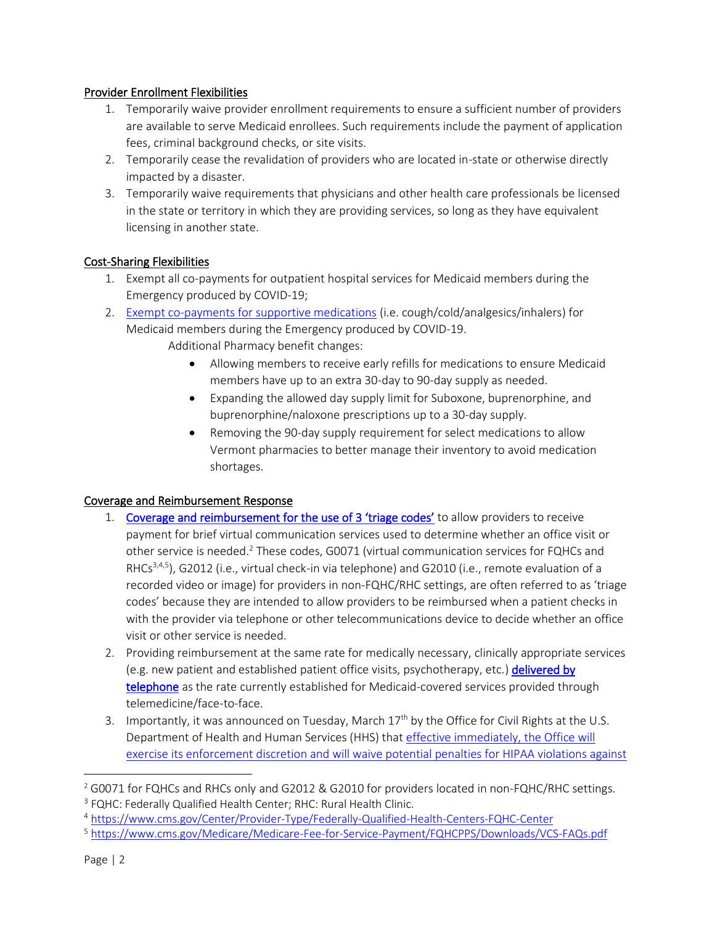## Provider Enrollment Flexibilities

- 1. Temporarily waive provider enrollment requirements to ensure a sufficient number of providers are available to serve Medicaid enrollees. Such requirements include the payment of application fees, criminal background checks, or site visits.
- 2. Temporarily cease the revalidation of providers who are located in-state or otherwise directly impacted by a disaster.
- 3. Temporarily waive requirements that physicians and other health care professionals be licensed in the state or territory in which they are providing services, so long as they have equivalent licensing in another state.

### Cost-Sharing Flexibilities

- 1. Exempt all co-payments for outpatient hospital services for Medicaid members during the Emergency produced by COVID-19;
- 2. [Exempt co-payments for supportive medications](https://dvha.vermont.gov/sites/dvha/files/documents/COVID19_FINAL.pdf) (i.e. cough/cold/analgesics/inhalers) for Medicaid members during the Emergency produced by COVID-19. Additional Pharmacy benefit changes:
	- Allowing members to receive early refills for medications to ensure Medicaid members have up to an extra 30-day to 90-day supply as needed.
	- Expanding the allowed day supply limit for Suboxone, buprenorphine, and buprenorphine/naloxone prescriptions up to a 30-day supply.
	- Removing the 90-day supply requirement for select medications to allow Vermont pharmacies to better manage their inventory to avoid medication shortages.

## Coverage and Reimbursement Response

- 1. [Coverage and reimbursement for the use of 3](https://dvha.vermont.gov/sites/dvha/files/documents/News/DVHA_Memo_Provider%20Guidance%20in%20Response%20to%20COVID-19%20FINAL%2003.18.20.pdf) 'triage codes' to allow providers to receive payment for brief virtual communication services used to determine whether an office visit or other service is needed.<sup>2</sup> These codes, G0071 (virtual communication services for FQHCs and RHCs<sup>3,4,5</sup>), G2012 (i.e., virtual check-in via telephone) and G2010 (i.e., remote evaluation of a recorded video or image) for providers in non-FQHC/RHC settings, are often referred to as 'triage codes' because they are intended to allow providers to be reimbursed when a patient checks in with the provider via telephone or other telecommunications device to decide whether an office visit or other service is needed.
- 2. Providing reimbursement at the same rate for medically necessary, clinically appropriate services (e.g. new patient and established patient office visits, psychotherapy, etc.) delivered by [telephone](https://dvha.vermont.gov/sites/dvha/files/documents/News/DVHA_Memo_Provider%20Guidance%20in%20Response%20to%20COVID-19%20FINAL%2003.18.20.pdf) as the rate currently established for Medicaid-covered services provided through telemedicine/face-to-face.
- 3. Importantly, it was announced on Tuesday, March  $17<sup>th</sup>$  by the Office for Civil Rights at the U.S. Department of Health and Human Services (HHS) that effective immediately, the Office will [exercise its enforcement discretion and will waive potential penalties for HIPAA violations against](https://www.hhs.gov/about/news/2020/03/17/ocr-announces-notification-of-enforcement-discretion-for-telehealth-remote-communications-during-the-covid-19.html)

<sup>&</sup>lt;sup>2</sup> G0071 for FQHCs and RHCs only and G2012 & G2010 for providers located in non-FQHC/RHC settings.

<sup>&</sup>lt;sup>3</sup> FQHC: Federally Qualified Health Center; RHC: Rural Health Clinic.

<sup>4</sup> <https://www.cms.gov/Center/Provider-Type/Federally-Qualified-Health-Centers-FQHC-Center>

<sup>5</sup> <https://www.cms.gov/Medicare/Medicare-Fee-for-Service-Payment/FQHCPPS/Downloads/VCS-FAQs.pdf>